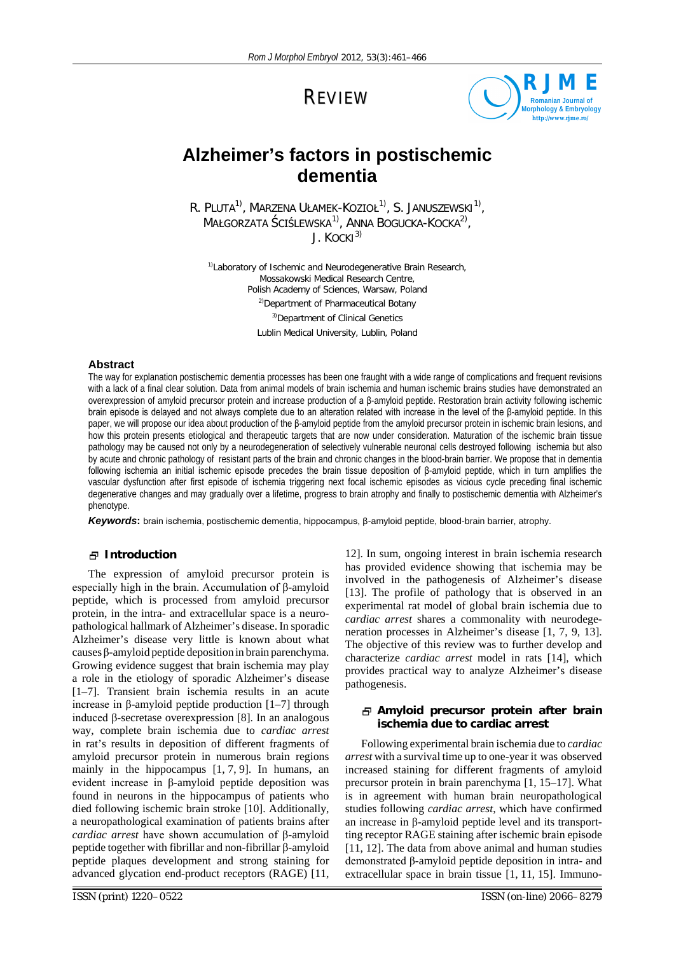REVIEW



# **Alzheimer's factors in postischemic dementia**

 $R$ . Pluta $^{1)}$ , Marzena Ułamek-Kozioł $^{1)}$ , S. Januszewski $^{1)}$ , MAŁGORZATA ŚCIŚLEWSKA<sup>1)</sup>, ANNA BOGUCKA-KOCKA<sup>2)</sup>,  $J.$  KOCKI<sup>3)</sup>

*1)Laboratory of Ischemic and Neurodegenerative Brain Research, Mossakowski Medical Research Centre, Polish Academy of Sciences, Warsaw, Poland 2)Department of Pharmaceutical Botany 3)Department of Clinical Genetics Lublin Medical University, Lublin, Poland*

# **Abstract**

The way for explanation postischemic dementia processes has been one fraught with a wide range of complications and frequent revisions with a lack of a final clear solution. Data from animal models of brain ischemia and human ischemic brains studies have demonstrated an overexpression of amyloid precursor protein and increase production of a β-amyloid peptide. Restoration brain activity following ischemic brain episode is delayed and not always complete due to an alteration related with increase in the level of the β-amyloid peptide. In this paper, we will propose our idea about production of the β-amyloid peptide from the amyloid precursor protein in ischemic brain lesions, and how this protein presents etiological and therapeutic targets that are now under consideration. Maturation of the ischemic brain tissue pathology may be caused not only by a neurodegeneration of selectively vulnerable neuronal cells destroyed following ischemia but also by acute and chronic pathology of resistant parts of the brain and chronic changes in the blood-brain barrier. We propose that in dementia following ischemia an initial ischemic episode precedes the brain tissue deposition of β-amyloid peptide, which in turn amplifies the vascular dysfunction after first episode of ischemia triggering next focal ischemic episodes as vicious cycle preceding final ischemic degenerative changes and may gradually over a lifetime, progress to brain atrophy and finally to postischemic dementia with Alzheimer's phenotype.

*Keywords***:** brain ischemia, postischemic dementia, hippocampus, β-amyloid peptide, blood-brain barrier, atrophy.

# **Introduction**

The expression of amyloid precursor protein is especially high in the brain. Accumulation of β-amyloid peptide, which is processed from amyloid precursor protein, in the intra- and extracellular space is a neuropathological hallmark of Alzheimer's disease. In sporadic Alzheimer's disease very little is known about what causes β-amyloid peptide deposition in brain parenchyma. Growing evidence suggest that brain ischemia may play a role in the etiology of sporadic Alzheimer's disease [1–7]. Transient brain ischemia results in an acute increase in β-amyloid peptide production [1–7] through induced β-secretase overexpression [8]. In an analogous way, complete brain ischemia due to *cardiac arrest* in rat's results in deposition of different fragments of amyloid precursor protein in numerous brain regions mainly in the hippocampus [1, 7, 9]. In humans, an evident increase in β-amyloid peptide deposition was found in neurons in the hippocampus of patients who died following ischemic brain stroke [10]. Additionally, a neuropathological examination of patients brains after *cardiac arrest* have shown accumulation of β-amyloid peptide together with fibrillar and non-fibrillar β-amyloid peptide plaques development and strong staining for advanced glycation end-product receptors (RAGE) [11,

12]. In sum, ongoing interest in brain ischemia research has provided evidence showing that ischemia may be involved in the pathogenesis of Alzheimer's disease [13]. The profile of pathology that is observed in an experimental rat model of global brain ischemia due to *cardiac arrest* shares a commonality with neurodegeneration processes in Alzheimer's disease [1, 7, 9, 13]. The objective of this review was to further develop and characterize *cardiac arrest* model in rats [14], which provides practical way to analyze Alzheimer's disease pathogenesis.

# **Amyloid precursor protein after brain ischemia due to cardiac arrest**

Following experimental brain ischemia due to *cardiac arrest* with a survival time up to one-year it was observed increased staining for different fragments of amyloid precursor protein in brain parenchyma [1, 15–17]. What is in agreement with human brain neuropathological studies following *cardiac arrest*, which have confirmed an increase in β-amyloid peptide level and its transportting receptor RAGE staining after ischemic brain episode [11, 12]. The data from above animal and human studies demonstrated β-amyloid peptide deposition in intra- and extracellular space in brain tissue [1, 11, 15]. Immuno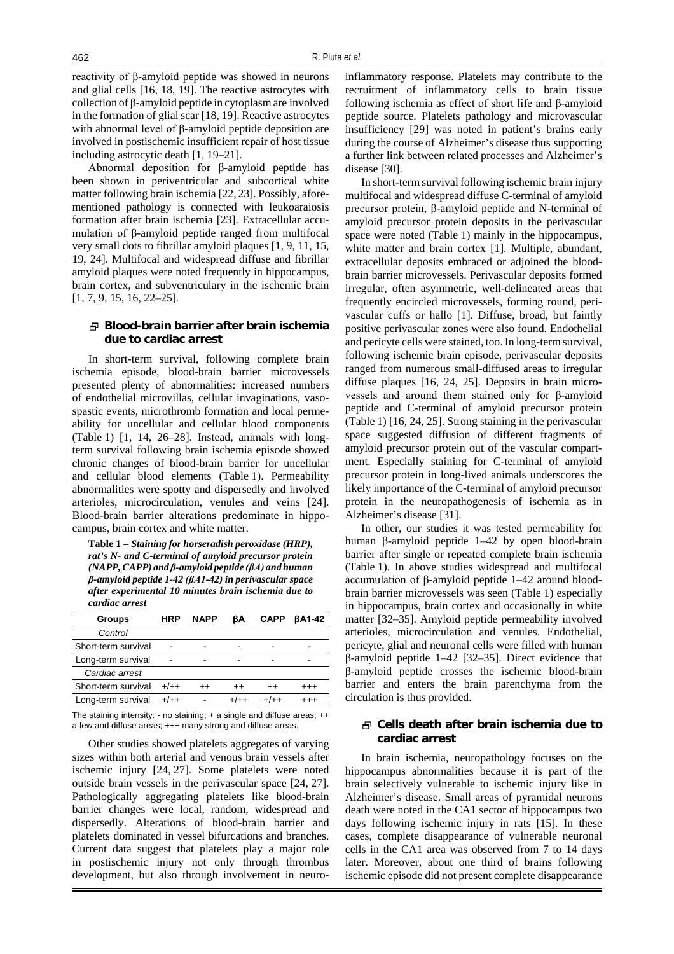reactivity of β-amyloid peptide was showed in neurons and glial cells [16, 18, 19]. The reactive astrocytes with collection of β-amyloid peptide in cytoplasm are involved in the formation of glial scar [18, 19]. Reactive astrocytes with abnormal level of β-amyloid peptide deposition are involved in postischemic insufficient repair of host tissue including astrocytic death [1, 19–21].

Abnormal deposition for β-amyloid peptide has been shown in periventricular and subcortical white matter following brain ischemia [22, 23]. Possibly, aforementioned pathology is connected with leukoaraiosis formation after brain ischemia [23]. Extracellular accumulation of β-amyloid peptide ranged from multifocal very small dots to fibrillar amyloid plaques [1, 9, 11, 15, 19, 24]. Multifocal and widespread diffuse and fibrillar amyloid plaques were noted frequently in hippocampus, brain cortex, and subventriculary in the ischemic brain [1, 7, 9, 15, 16, 22–25].

## **Blood-brain barrier after brain ischemia due to cardiac arrest**

In short-term survival, following complete brain ischemia episode, blood-brain barrier microvessels presented plenty of abnormalities: increased numbers of endothelial microvillas, cellular invaginations, vasospastic events, microthromb formation and local permeability for uncellular and cellular blood components (Table 1) [1, 14, 26–28]. Instead, animals with longterm survival following brain ischemia episode showed chronic changes of blood-brain barrier for uncellular and cellular blood elements (Table 1). Permeability abnormalities were spotty and dispersedly and involved arterioles, microcirculation, venules and veins [24]. Blood-brain barrier alterations predominate in hippocampus, brain cortex and white matter.

**Table 1 –** *Staining for horseradish peroxidase (HRP), rat's N- and C-terminal of amyloid precursor protein (NAPP,CAPP) and β-amyloid peptide (βA) and human β-amyloid peptide 1-42 (βA1-42) in perivascular space after experimental 10 minutes brain ischemia due to cardiac arrest*

| <b>Groups</b>       | HRP    | <b>NAPP</b>     | ßΑ      | <b>CAPP</b> | <b>BA1-42</b> |
|---------------------|--------|-----------------|---------|-------------|---------------|
| Control             |        |                 |         |             |               |
| Short-term survival |        |                 |         |             |               |
| Long-term survival  |        |                 |         |             |               |
| Cardiac arrest      |        |                 |         |             |               |
| Short-term survival | $+/++$ | $^{\mathrm{+}}$ | $^{++}$ | $^{++}$     | $^{+++}$      |
| Long-term survival  | $+/++$ |                 |         |             |               |

The staining intensity: - no staining; + a single and diffuse areas; ++ a few and diffuse areas; +++ many strong and diffuse areas.

Other studies showed platelets aggregates of varying sizes within both arterial and venous brain vessels after ischemic injury [24, 27]. Some platelets were noted outside brain vessels in the perivascular space [24, 27]. Pathologically aggregating platelets like blood-brain barrier changes were local, random, widespread and dispersedly. Alterations of blood-brain barrier and platelets dominated in vessel bifurcations and branches. Current data suggest that platelets play a major role in postischemic injury not only through thrombus development, but also through involvement in neuroinflammatory response. Platelets may contribute to the recruitment of inflammatory cells to brain tissue following ischemia as effect of short life and β-amyloid peptide source. Platelets pathology and microvascular insufficiency [29] was noted in patient's brains early during the course of Alzheimer's disease thus supporting a further link between related processes and Alzheimer's disease [30].

In short-term survival following ischemic brain injury multifocal and widespread diffuse C-terminal of amyloid precursor protein, β-amyloid peptide and N-terminal of amyloid precursor protein deposits in the perivascular space were noted (Table 1) mainly in the hippocampus, white matter and brain cortex [1]. Multiple, abundant, extracellular deposits embraced or adjoined the bloodbrain barrier microvessels. Perivascular deposits formed irregular, often asymmetric, well-delineated areas that frequently encircled microvessels, forming round, perivascular cuffs or hallo [1]. Diffuse, broad, but faintly positive perivascular zones were also found. Endothelial and pericyte cells were stained, too. In long-term survival, following ischemic brain episode, perivascular deposits ranged from numerous small-diffused areas to irregular diffuse plaques [16, 24, 25]. Deposits in brain microvessels and around them stained only for β-amyloid peptide and C-terminal of amyloid precursor protein (Table 1) [16, 24, 25]. Strong staining in the perivascular space suggested diffusion of different fragments of amyloid precursor protein out of the vascular compartment. Especially staining for C-terminal of amyloid precursor protein in long-lived animals underscores the likely importance of the C-terminal of amyloid precursor protein in the neuropathogenesis of ischemia as in Alzheimer's disease [31].

In other, our studies it was tested permeability for human β-amyloid peptide 1–42 by open blood-brain barrier after single or repeated complete brain ischemia (Table 1). In above studies widespread and multifocal accumulation of β-amyloid peptide 1–42 around bloodbrain barrier microvessels was seen (Table 1) especially in hippocampus, brain cortex and occasionally in white matter [32–35]. Amyloid peptide permeability involved arterioles, microcirculation and venules. Endothelial, pericyte, glial and neuronal cells were filled with human β-amyloid peptide 1–42 [32–35]. Direct evidence that β-amyloid peptide crosses the ischemic blood-brain barrier and enters the brain parenchyma from the circulation is thus provided.

# **Cells death after brain ischemia due to cardiac arrest**

In brain ischemia, neuropathology focuses on the hippocampus abnormalities because it is part of the brain selectively vulnerable to ischemic injury like in Alzheimer's disease. Small areas of pyramidal neurons death were noted in the CA1 sector of hippocampus two days following ischemic injury in rats [15]. In these cases, complete disappearance of vulnerable neuronal cells in the CA1 area was observed from 7 to 14 days later. Moreover, about one third of brains following ischemic episode did not present complete disappearance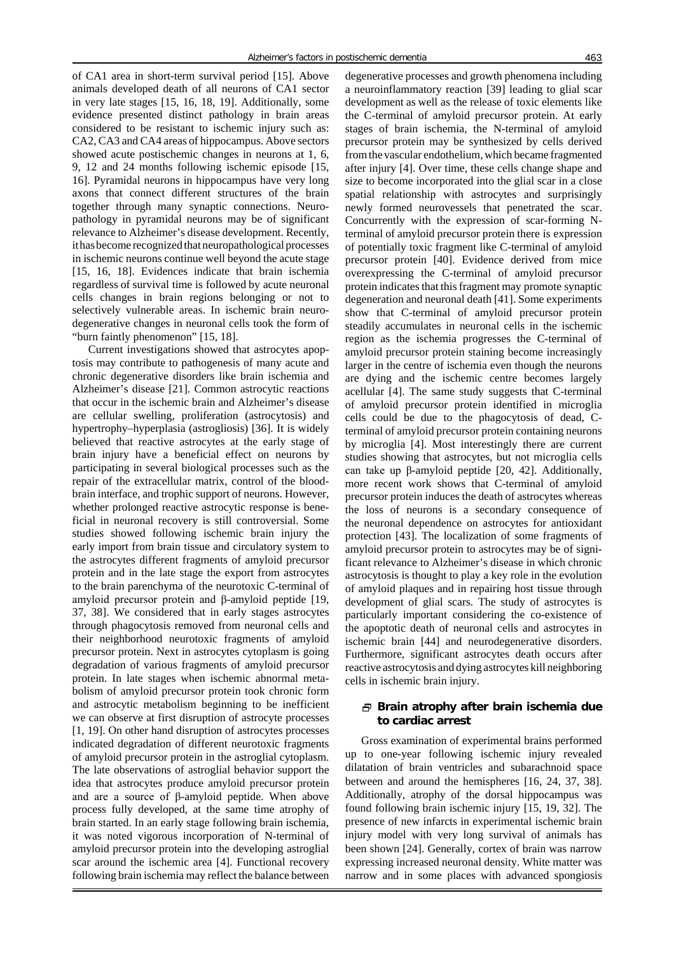of CA1 area in short-term survival period [15]. Above animals developed death of all neurons of CA1 sector in very late stages [15, 16, 18, 19]. Additionally, some evidence presented distinct pathology in brain areas considered to be resistant to ischemic injury such as: CA2, CA3 and CA4 areas of hippocampus. Above sectors showed acute postischemic changes in neurons at 1, 6, 9, 12 and 24 months following ischemic episode [15, 16]. Pyramidal neurons in hippocampus have very long axons that connect different structures of the brain together through many synaptic connections. Neuropathology in pyramidal neurons may be of significant relevance to Alzheimer's disease development. Recently, it has become recognized that neuropathological processes in ischemic neurons continue well beyond the acute stage [15, 16, 18]. Evidences indicate that brain ischemia regardless of survival time is followed by acute neuronal cells changes in brain regions belonging or not to selectively vulnerable areas. In ischemic brain neurodegenerative changes in neuronal cells took the form of "burn faintly phenomenon" [15, 18].

Current investigations showed that astrocytes apoptosis may contribute to pathogenesis of many acute and chronic degenerative disorders like brain ischemia and Alzheimer's disease [21]. Common astrocytic reactions that occur in the ischemic brain and Alzheimer's disease are cellular swelling, proliferation (astrocytosis) and hypertrophy–hyperplasia (astrogliosis) [36]. It is widely believed that reactive astrocytes at the early stage of brain injury have a beneficial effect on neurons by participating in several biological processes such as the repair of the extracellular matrix, control of the bloodbrain interface, and trophic support of neurons. However, whether prolonged reactive astrocytic response is beneficial in neuronal recovery is still controversial. Some studies showed following ischemic brain injury the early import from brain tissue and circulatory system to the astrocytes different fragments of amyloid precursor protein and in the late stage the export from astrocytes to the brain parenchyma of the neurotoxic C-terminal of amyloid precursor protein and β-amyloid peptide [19, 37, 38]. We considered that in early stages astrocytes through phagocytosis removed from neuronal cells and their neighborhood neurotoxic fragments of amyloid precursor protein. Next in astrocytes cytoplasm is going degradation of various fragments of amyloid precursor protein. In late stages when ischemic abnormal metabolism of amyloid precursor protein took chronic form and astrocytic metabolism beginning to be inefficient we can observe at first disruption of astrocyte processes [1, 19]. On other hand disruption of astrocytes processes indicated degradation of different neurotoxic fragments of amyloid precursor protein in the astroglial cytoplasm. The late observations of astroglial behavior support the idea that astrocytes produce amyloid precursor protein and are a source of β-amyloid peptide. When above process fully developed, at the same time atrophy of brain started. In an early stage following brain ischemia, it was noted vigorous incorporation of N-terminal of amyloid precursor protein into the developing astroglial scar around the ischemic area [4]. Functional recovery following brain ischemia may reflect the balance between degenerative processes and growth phenomena including a neuroinflammatory reaction [39] leading to glial scar development as well as the release of toxic elements like the C-terminal of amyloid precursor protein. At early stages of brain ischemia, the N-terminal of amyloid precursor protein may be synthesized by cells derived from the vascular endothelium, which became fragmented after injury [4]. Over time, these cells change shape and size to become incorporated into the glial scar in a close spatial relationship with astrocytes and surprisingly newly formed neurovessels that penetrated the scar. Concurrently with the expression of scar-forming Nterminal of amyloid precursor protein there is expression of potentially toxic fragment like C-terminal of amyloid precursor protein [40]. Evidence derived from mice overexpressing the C-terminal of amyloid precursor protein indicates that this fragment may promote synaptic degeneration and neuronal death [41]. Some experiments show that C-terminal of amyloid precursor protein steadily accumulates in neuronal cells in the ischemic region as the ischemia progresses the C-terminal of amyloid precursor protein staining become increasingly larger in the centre of ischemia even though the neurons are dying and the ischemic centre becomes largely acellular [4]. The same study suggests that C-terminal of amyloid precursor protein identified in microglia cells could be due to the phagocytosis of dead, Cterminal of amyloid precursor protein containing neurons by microglia [4]. Most interestingly there are current studies showing that astrocytes, but not microglia cells can take up β-amyloid peptide [20, 42]. Additionally, more recent work shows that C-terminal of amyloid precursor protein induces the death of astrocytes whereas the loss of neurons is a secondary consequence of the neuronal dependence on astrocytes for antioxidant protection [43]. The localization of some fragments of amyloid precursor protein to astrocytes may be of significant relevance to Alzheimer's disease in which chronic astrocytosis is thought to play a key role in the evolution of amyloid plaques and in repairing host tissue through development of glial scars. The study of astrocytes is particularly important considering the co-existence of the apoptotic death of neuronal cells and astrocytes in ischemic brain [44] and neurodegenerative disorders. Furthermore, significant astrocytes death occurs after reactive astrocytosis and dying astrocytes kill neighboring cells in ischemic brain injury.

## **Brain atrophy after brain ischemia due to cardiac arrest**

Gross examination of experimental brains performed up to one-year following ischemic injury revealed dilatation of brain ventricles and subarachnoid space between and around the hemispheres [16, 24, 37, 38]. Additionally, atrophy of the dorsal hippocampus was found following brain ischemic injury [15, 19, 32]. The presence of new infarcts in experimental ischemic brain injury model with very long survival of animals has been shown [24]. Generally, cortex of brain was narrow expressing increased neuronal density. White matter was narrow and in some places with advanced spongiosis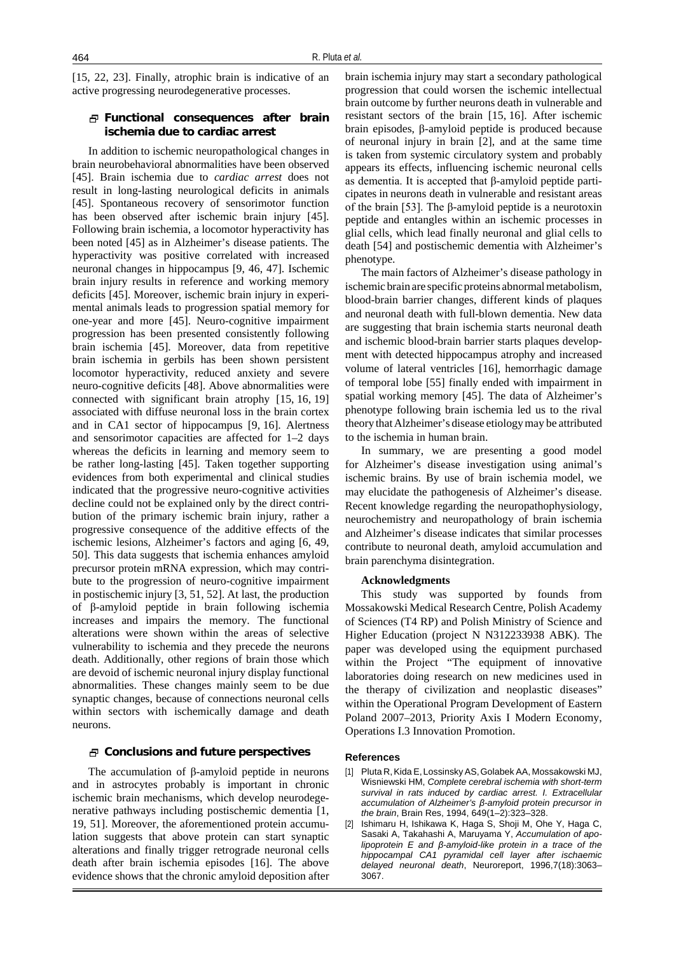[15, 22, 23]. Finally, atrophic brain is indicative of an active progressing neurodegenerative processes.

# **Functional consequences after brain ischemia due to cardiac arrest**

In addition to ischemic neuropathological changes in brain neurobehavioral abnormalities have been observed [45]. Brain ischemia due to *cardiac arrest* does not result in long-lasting neurological deficits in animals [45]. Spontaneous recovery of sensorimotor function has been observed after ischemic brain injury [45]. Following brain ischemia, a locomotor hyperactivity has been noted [45] as in Alzheimer's disease patients. The hyperactivity was positive correlated with increased neuronal changes in hippocampus [9, 46, 47]. Ischemic brain injury results in reference and working memory deficits [45]. Moreover, ischemic brain injury in experimental animals leads to progression spatial memory for one-year and more [45]. Neuro-cognitive impairment progression has been presented consistently following brain ischemia [45]. Moreover, data from repetitive brain ischemia in gerbils has been shown persistent locomotor hyperactivity, reduced anxiety and severe neuro-cognitive deficits [48]. Above abnormalities were connected with significant brain atrophy [15, 16, 19] associated with diffuse neuronal loss in the brain cortex and in CA1 sector of hippocampus [9, 16]. Alertness and sensorimotor capacities are affected for 1–2 days whereas the deficits in learning and memory seem to be rather long-lasting [45]. Taken together supporting evidences from both experimental and clinical studies indicated that the progressive neuro-cognitive activities decline could not be explained only by the direct contribution of the primary ischemic brain injury, rather a progressive consequence of the additive effects of the ischemic lesions, Alzheimer's factors and aging [6, 49, 50]. This data suggests that ischemia enhances amyloid precursor protein mRNA expression, which may contribute to the progression of neuro-cognitive impairment in postischemic injury [3, 51, 52]. At last, the production of β-amyloid peptide in brain following ischemia increases and impairs the memory. The functional alterations were shown within the areas of selective vulnerability to ischemia and they precede the neurons death. Additionally, other regions of brain those which are devoid of ischemic neuronal injury display functional abnormalities. These changes mainly seem to be due synaptic changes, because of connections neuronal cells within sectors with ischemically damage and death neurons.

## **Conclusions and future perspectives**

The accumulation of β-amyloid peptide in neurons and in astrocytes probably is important in chronic ischemic brain mechanisms, which develop neurodegenerative pathways including postischemic dementia [1, 19, 51]. Moreover, the aforementioned protein accumulation suggests that above protein can start synaptic alterations and finally trigger retrograde neuronal cells death after brain ischemia episodes [16]. The above evidence shows that the chronic amyloid deposition after brain ischemia injury may start a secondary pathological progression that could worsen the ischemic intellectual brain outcome by further neurons death in vulnerable and resistant sectors of the brain [15, 16]. After ischemic brain episodes, β-amyloid peptide is produced because of neuronal injury in brain [2], and at the same time is taken from systemic circulatory system and probably appears its effects, influencing ischemic neuronal cells as dementia. It is accepted that β-amyloid peptide participates in neurons death in vulnerable and resistant areas of the brain [53]. The β-amyloid peptide is a neurotoxin peptide and entangles within an ischemic processes in glial cells, which lead finally neuronal and glial cells to death [54] and postischemic dementia with Alzheimer's phenotype.

The main factors of Alzheimer's disease pathology in ischemic brain are specific proteins abnormal metabolism, blood-brain barrier changes, different kinds of plaques and neuronal death with full-blown dementia. New data are suggesting that brain ischemia starts neuronal death and ischemic blood-brain barrier starts plaques development with detected hippocampus atrophy and increased volume of lateral ventricles [16], hemorrhagic damage of temporal lobe [55] finally ended with impairment in spatial working memory [45]. The data of Alzheimer's phenotype following brain ischemia led us to the rival theory thatAlzheimer's disease etiologymay be attributed to the ischemia in human brain.

In summary, we are presenting a good model for Alzheimer's disease investigation using animal's ischemic brains. By use of brain ischemia model, we may elucidate the pathogenesis of Alzheimer's disease. Recent knowledge regarding the neuropathophysiology, neurochemistry and neuropathology of brain ischemia and Alzheimer's disease indicates that similar processes contribute to neuronal death, amyloid accumulation and brain parenchyma disintegration.

#### **Acknowledgments**

This study was supported by founds from Mossakowski Medical Research Centre, Polish Academy of Sciences (T4 RP) and Polish Ministry of Science and Higher Education (project N N312233938 ABK). The paper was developed using the equipment purchased within the Project "The equipment of innovative laboratories doing research on new medicines used in the therapy of civilization and neoplastic diseases" within the Operational Program Development of Eastern Poland 2007–2013, Priority Axis I Modern Economy, Operations I.3 Innovation Promotion.

#### **References**

- [1] Pluta R,Kida E,Lossinsky AS,Golabek AA, Mossakowski MJ, Wisniewski HM, *Complete cerebral ischemia with short-term survival in rats induced by cardiac arrest. I. Extracellular accumulation of Alzheimer's β-amyloid protein precursor in the brain*, Brain Res, 1994, 649(1–2):323–328.
- [2] Ishimaru H, Ishikawa K, Haga S, Shoji M, Ohe Y, Haga C, Sasaki A, Takahashi A, Maruyama Y, *Accumulation of apolipoprotein E and β-amyloid-like protein in a trace of the hippocampal CA1 pyramidal cell layer after ischaemic delayed neuronal death*, Neuroreport, 1996,7(18):3063– 3067.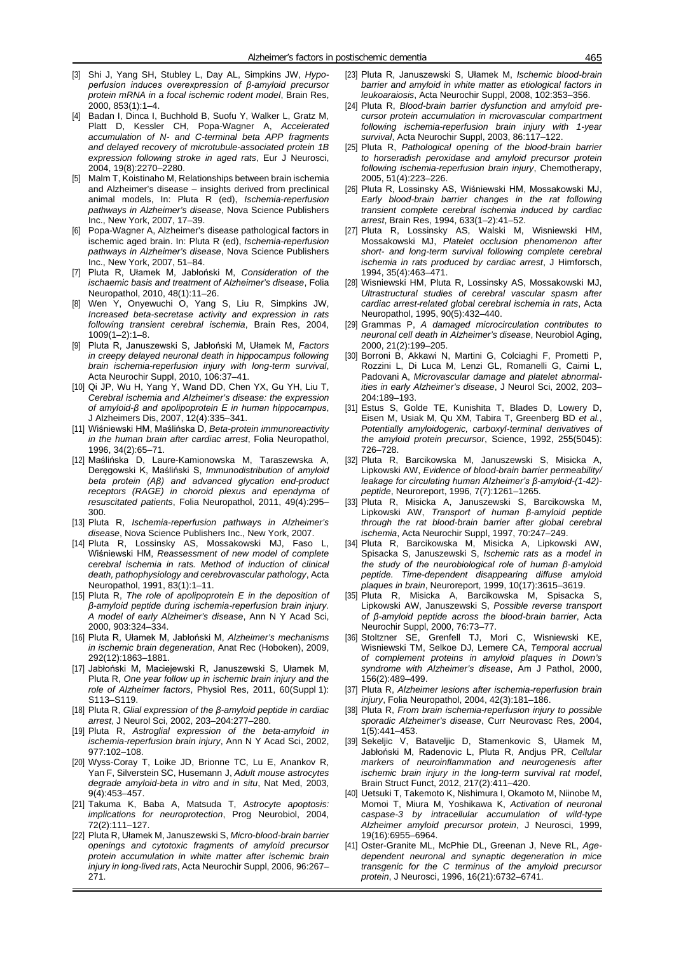- [3] Shi J, Yang SH, Stubley L, Day AL, Simpkins JW, *Hypoperfusion induces overexpression of β-amyloid precursor protein mRNA in a focal ischemic rodent model*, Brain Res, 2000, 853(1):1–4.
- [4] Badan I, Dinca I, Buchhold B, Suofu Y, Walker L, Gratz M, Platt D, Kessler CH, Popa-Wagner A, *Accelerated accumulation of N- and C-terminal beta APP fragments and delayed recovery of microtubule-associated protein 1B expression following stroke in aged rats*, Eur J Neurosci, 2004, 19(8):2270–2280.
- [5] Malm T, Koistinaho M, Relationships between brain ischemia and Alzheimer's disease – insights derived from preclinical animal models, In: Pluta R (ed), *Ischemia-reperfusion pathways in Alzheimer's disease*, Nova Science Publishers Inc., New York, 2007, 17–39.
- [6] Popa-Wagner A, Alzheimer's disease pathological factors in ischemic aged brain. In: Pluta R (ed), *Ischemia-reperfusion pathways in Alzheimer's disease*, Nova Science Publishers Inc., New York, 2007, 51–84.
- [7] Pluta R, Ułamek M, Jabłoński M, *Consideration of the ischaemic basis and treatment of Alzheimer's disease*, Folia Neuropathol, 2010, 48(1):11–26.
- [8] Wen Y, Onyewuchi O, Yang S, Liu R, Simpkins JW, *Increased beta-secretase activity and expression in rats following transient cerebral ischemia*, Brain Res, 2004, 1009(1–2):1–8.
- [9] Pluta R, Januszewski S, Jabłoński M, Ułamek M, *Factors in creepy delayed neuronal death in hippocampus following brain ischemia-reperfusion injury with long-term survival*, Acta Neurochir Suppl, 2010, 106:37–41.
- [10] Qi JP, Wu H, Yang Y, Wand DD, Chen YX, Gu YH, Liu T, *Cerebral ischemia and Alzheimer's disease: the expression of amyloid-β and apolipoprotein E in human hippocampus*, J Alzheimers Dis, 2007, 12(4):335–341.
- [11] Wiśniewski HM, Maślińska D, *Beta-protein immunoreactivity in the human brain after cardiac arrest*, Folia Neuropathol, 1996, 34(2):65–71.
- [12] Maślińska D, Laure-Kamionowska M, Taraszewska A, Deręgowski K, Maśliński S, *Immunodistribution of amyloid beta protein (Aβ) and advanced glycation end-product receptors (RAGE) in choroid plexus and ependyma of resuscitated patients*, Folia Neuropathol, 2011, 49(4):295– 300.
- [13] Pluta R, *Ischemia-reperfusion pathways in Alzheimer's disease*, Nova Science Publishers Inc., New York, 2007.
- [14] Pluta R, Lossinsky AS, Mossakowski MJ, Faso L, Wiśniewski HM, *Reassessment of new model of complete cerebral ischemia in rats. Method of induction of clinical death, pathophysiology and cerebrovascular pathology*, Acta Neuropathol, 1991, 83(1):1–11.
- [15] Pluta R, *The role of apolipoprotein E in the deposition of β-amyloid peptide during ischemia-reperfusion brain injury. A model of early Alzheimer's disease*, Ann N Y Acad Sci, 2000, 903:324–334.
- [16] Pluta R, Ułamek M, Jabłoński M, *Alzheimer's mechanisms in ischemic brain degeneration*, Anat Rec (Hoboken), 2009, 292(12):1863–1881.
- [17] Jabłoński M, Maciejewski R, Januszewski S, Ułamek M, Pluta R, *One year follow up in ischemic brain injury and the role of Alzheimer factors*, Physiol Res, 2011, 60(Suppl 1): S113–S119.
- [18] Pluta R, *Glial expression of the β-amyloid peptide in cardiac arrest*, J Neurol Sci, 2002, 203–204:277–280.
- [19] Pluta R, *Astroglial expression of the beta-amyloid in ischemia-reperfusion brain injury*, Ann N Y Acad Sci, 2002, 977:102–108.
- [20] Wyss-Coray T, Loike JD, Brionne TC, Lu E, Anankov R, Yan F, Silverstein SC, Husemann J, *Adult mouse astrocytes degrade amyloid-beta in vitro and in situ*, Nat Med, 2003, 9(4):453–457.
- [21] Takuma K, Baba A, Matsuda T, *Astrocyte apoptosis: implications for neuroprotection*, Prog Neurobiol, 2004, 72(2):111–127.
- [22] Pluta R, Ułamek M, Januszewski S, *Micro-blood-brain barrier openings and cytotoxic fragments of amyloid precursor protein accumulation in white matter after ischemic brain injury in long-lived rats*, Acta Neurochir Suppl, 2006, 96:267– 271.
- [23] Pluta R, Januszewski S, Ułamek M, *Ischemic blood-brain barrier and amyloid in white matter as etiological factors in leukoaraiosis*, Acta Neurochir Suppl, 2008, 102:353–356.
- [24] Pluta R, *Blood-brain barrier dysfunction and amyloid precursor protein accumulation in microvascular compartment following ischemia-reperfusion brain injury with 1-year survival*, Acta Neurochir Suppl, 2003, 86:117–122.
- [25] Pluta R, *Pathological opening of the blood-brain barrier to horseradish peroxidase and amyloid precursor protein following ischemia-reperfusion brain injury*, Chemotherapy, 2005, 51(4):223–226.
- [26] Pluta R, Lossinsky AS, Wiśniewski HM, Mossakowski MJ, *Early blood-brain barrier changes in the rat following transient complete cerebral ischemia induced by cardiac arrest*, Brain Res, 1994, 633(1–2):41–52.
- [27] Pluta R, Lossinsky AS, Walski M, Wisniewski HM, Mossakowski MJ, *Platelet occlusion phenomenon after short- and long-term survival following complete cerebral ischemia in rats produced by cardiac arrest*, J Hirnforsch, 1994, 35(4):463–471.
- [28] Wisniewski HM, Pluta R, Lossinsky AS, Mossakowski MJ, *Ultrastructural studies of cerebral vascular spasm after cardiac arrest-related global cerebral ischemia in rats*, Acta Neuropathol, 1995, 90(5):432–440.
- [29] Grammas P, *A damaged microcirculation contributes to neuronal cell death in Alzheimer's disease*, Neurobiol Aging, 2000, 21(2):199–205.
- [30] Borroni B, Akkawi N, Martini G, Colciaghi F, Prometti P, Rozzini L, Di Luca M, Lenzi GL, Romanelli G, Caimi L, Padovani A, *Microvascular damage and platelet abnormalities in early Alzheimer's disease*, J Neurol Sci, 2002, 203– 204:189–193.
- [31] Estus S, Golde TE, Kunishita T, Blades D, Lowery D, Eisen M, Usiak M, Qu XM, Tabira T, Greenberg BD *et al.*, *Potentially amyloidogenic, carboxyl-terminal derivatives of the amyloid protein precursor*, Science, 1992, 255(5045): 726–728.
- [32] Pluta R, Barcikowska M, Januszewski S, Misicka A, Lipkowski AW, *Evidence of blood-brain barrier permeability/ leakage for circulating human Alzheimer's β-amyloid-(1-42) peptide*, Neuroreport, 1996, 7(7):1261–1265.
- [33] Pluta R, Misicka A, Januszewski S, Barcikowska M, Lipkowski AW, *Transport of human β-amyloid peptide through the rat blood-brain barrier after global cerebral ischemia*, Acta Neurochir Suppl, 1997, 70:247–249.
- [34] Pluta R, Barcikowska M, Misicka A, Lipkowski AW, Spisacka S, Januszewski S, *Ischemic rats as a model in the study of the neurobiological role of human β-amyloid peptide. Time-dependent disappearing diffuse amyloid plaques in brain*, Neuroreport, 1999, 10(17):3615–3619.
- [35] Pluta R, Misicka A, Barcikowska M, Spisacka S, Lipkowski AW, Januszewski S, *Possible reverse transport of β-amyloid peptide across the blood-brain barrier*, Acta Neurochir Suppl, 2000, 76:73–77.
- [36] Stoltzner SE, Grenfell TJ, Mori C, Wisniewski KE, Wisniewski TM, Selkoe DJ, Lemere CA, *Temporal accrual of complement proteins in amyloid plaques in Down's syndrome with Alzheimer's disease*, Am J Pathol, 2000, 156(2):489–499.
- [37] Pluta R, *Alzheimer lesions after ischemia-reperfusion brain injury*, Folia Neuropathol, 2004, 42(3):181–186.
- [38] Pluta R, *From brain ischemia-reperfusion injury to possible sporadic Alzheimer's disease*, Curr Neurovasc Res, 2004, 1(5):441–453.
- [39] Sekeljic V, Bataveljic D, Stamenkovic S, Ułamek M, Jabłoński M, Radenovic L, Pluta R, Andjus PR, *Cellular markers of neuroinflammation and neurogenesis after ischemic brain injury in the long-term survival rat model*, Brain Struct Funct, 2012, 217(2):411–420.
- [40] Uetsuki T, Takemoto K, Nishimura I, Okamoto M, Niinobe M, Momoi T, Miura M, Yoshikawa K, *Activation of neuronal caspase-3 by intracellular accumulation of wild-type Alzheimer amyloid precursor protein*, J Neurosci, 1999, 19(16):6955–6964.
- [41] Oster-Granite ML, McPhie DL, Greenan J, Neve RL, Age*dependent neuronal and synaptic degeneration in mice transgenic for the C terminus of the amyloid precursor protein*, J Neurosci, 1996, 16(21):6732–6741.